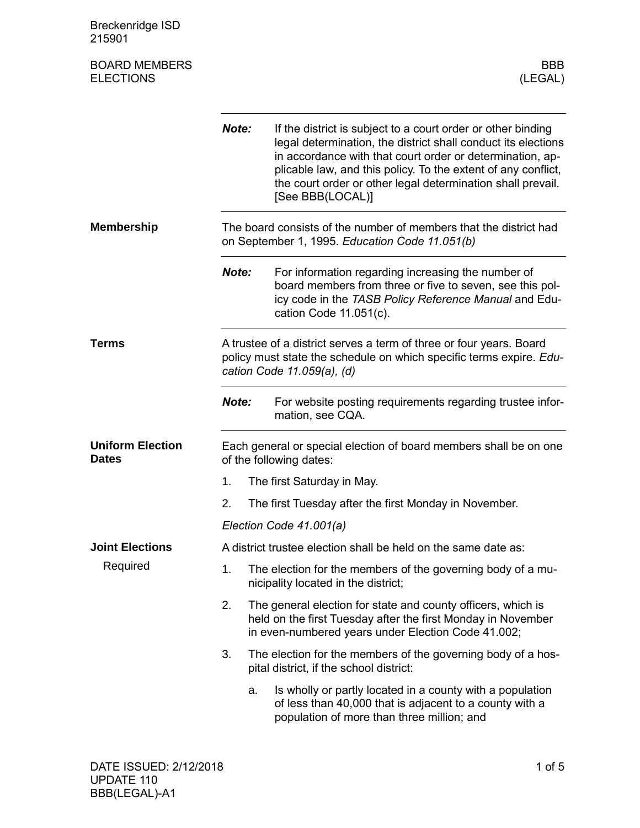Breckenridge ISD 215901 BOARD MEMBERS BBB ELECTIONS (LEGAL) *Note:* If the district is subject to a court order or other binding legal determination, the district shall conduct its elections in accordance with that court order or determination, applicable law, and this policy. To the extent of any conflict, the court order or other legal determination shall prevail. [See BBB(LOCAL)] The board consists of the number of members that the district had on September 1, 1995. *Education Code 11.051(b)* **Note:** For information regarding increasing the number of board members from three or five to seven, see this policy code in the *TASB Policy Reference Manual* and Education Code 11.051(c). A trustee of a district serves a term of three or four years. Board policy must state the schedule on which specific terms expire. *Education Code 11.059(a), (d) Note:* For website posting requirements regarding trustee information, see CQA. Each general or special election of board members shall be on one of the following dates: 1. The first Saturday in May. 2. The first Tuesday after the first Monday in November. *Election Code 41.001(a)* A district trustee election shall be held on the same date as: 1. The election for the members of the governing body of a municipality located in the district; 2. The general election for state and county officers, which is held on the first Tuesday after the first Monday in November in even-numbered years under Election Code 41.002; 3. The election for the members of the governing body of a hospital district, if the school district: a. Is wholly or partly located in a county with a population of less than 40,000 that is adjacent to a county with a population of more than three million; and **Membership Terms Uniform Election Dates Joint Elections** Required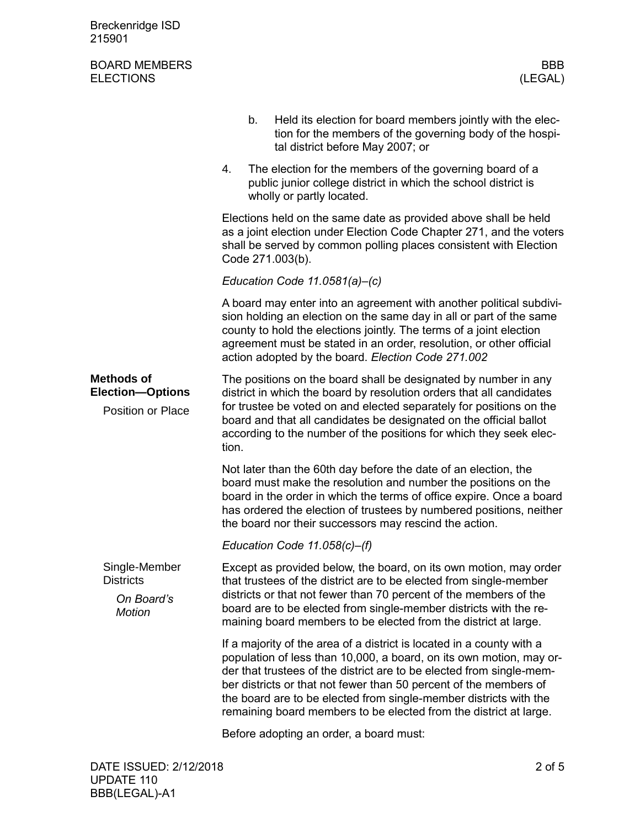| Breckenridge ISD<br>215901                                               |                                                                                                                                                                                                                                                                                                                                                                                                                                     |
|--------------------------------------------------------------------------|-------------------------------------------------------------------------------------------------------------------------------------------------------------------------------------------------------------------------------------------------------------------------------------------------------------------------------------------------------------------------------------------------------------------------------------|
| <b>BOARD MEMBERS</b><br><b>ELECTIONS</b>                                 | <b>BBB</b><br>(LEGAL)                                                                                                                                                                                                                                                                                                                                                                                                               |
|                                                                          | Held its election for board members jointly with the elec-<br>b.<br>tion for the members of the governing body of the hospi-<br>tal district before May 2007; or                                                                                                                                                                                                                                                                    |
|                                                                          | The election for the members of the governing board of a<br>4.<br>public junior college district in which the school district is<br>wholly or partly located.                                                                                                                                                                                                                                                                       |
|                                                                          | Elections held on the same date as provided above shall be held<br>as a joint election under Election Code Chapter 271, and the voters<br>shall be served by common polling places consistent with Election<br>Code 271.003(b).                                                                                                                                                                                                     |
|                                                                          | Education Code $11.0581(a)$ -(c)                                                                                                                                                                                                                                                                                                                                                                                                    |
|                                                                          | A board may enter into an agreement with another political subdivi-<br>sion holding an election on the same day in all or part of the same<br>county to hold the elections jointly. The terms of a joint election<br>agreement must be stated in an order, resolution, or other official<br>action adopted by the board. Election Code 271.002                                                                                      |
| <b>Methods of</b><br><b>Election-Options</b><br><b>Position or Place</b> | The positions on the board shall be designated by number in any<br>district in which the board by resolution orders that all candidates<br>for trustee be voted on and elected separately for positions on the<br>board and that all candidates be designated on the official ballot<br>according to the number of the positions for which they seek elec-<br>tion.                                                                 |
|                                                                          | Not later than the 60th day before the date of an election, the<br>board must make the resolution and number the positions on the<br>board in the order in which the terms of office expire. Once a board<br>has ordered the election of trustees by numbered positions, neither<br>the board nor their successors may rescind the action.                                                                                          |
|                                                                          | Education Code $11.058(c)$ –(f)                                                                                                                                                                                                                                                                                                                                                                                                     |
| Single-Member<br><b>Districts</b><br>On Board's<br><b>Motion</b>         | Except as provided below, the board, on its own motion, may order<br>that trustees of the district are to be elected from single-member<br>districts or that not fewer than 70 percent of the members of the<br>board are to be elected from single-member districts with the re-<br>maining board members to be elected from the district at large.                                                                                |
|                                                                          | If a majority of the area of a district is located in a county with a<br>population of less than 10,000, a board, on its own motion, may or-<br>der that trustees of the district are to be elected from single-mem-<br>ber districts or that not fewer than 50 percent of the members of<br>the board are to be elected from single-member districts with the<br>remaining board members to be elected from the district at large. |
|                                                                          | Before adopting an order, a board must:                                                                                                                                                                                                                                                                                                                                                                                             |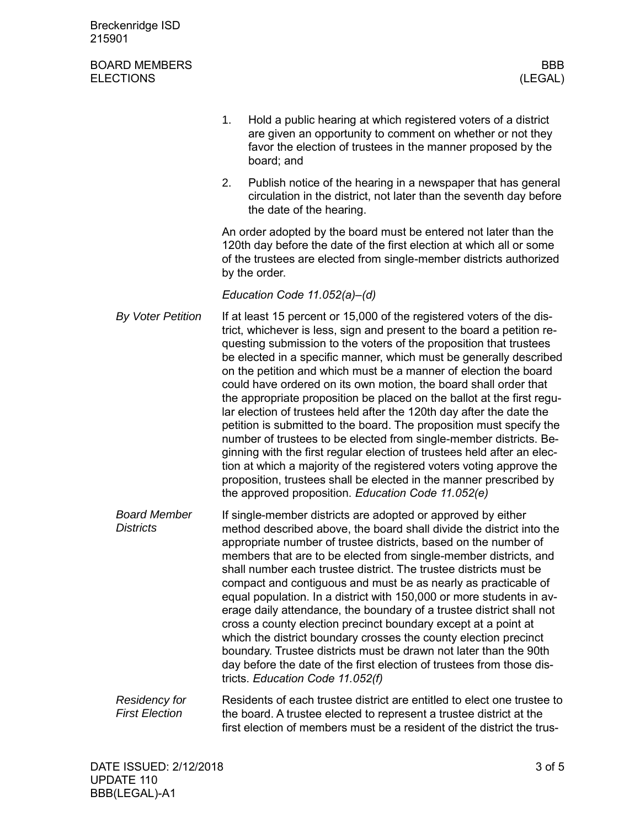| Breckenridge ISD<br>215901                    |    |                                                                                                                                                                                                                                                                                                                                                                                                                                                                                                                                                                                                                                                                                                                                                                                                                                                                                                                                                                                                                    |
|-----------------------------------------------|----|--------------------------------------------------------------------------------------------------------------------------------------------------------------------------------------------------------------------------------------------------------------------------------------------------------------------------------------------------------------------------------------------------------------------------------------------------------------------------------------------------------------------------------------------------------------------------------------------------------------------------------------------------------------------------------------------------------------------------------------------------------------------------------------------------------------------------------------------------------------------------------------------------------------------------------------------------------------------------------------------------------------------|
| <b>BOARD MEMBERS</b><br><b>ELECTIONS</b>      |    | <b>BBB</b><br>(LEGAL)                                                                                                                                                                                                                                                                                                                                                                                                                                                                                                                                                                                                                                                                                                                                                                                                                                                                                                                                                                                              |
|                                               | 1. | Hold a public hearing at which registered voters of a district<br>are given an opportunity to comment on whether or not they<br>favor the election of trustees in the manner proposed by the<br>board; and                                                                                                                                                                                                                                                                                                                                                                                                                                                                                                                                                                                                                                                                                                                                                                                                         |
|                                               | 2. | Publish notice of the hearing in a newspaper that has general<br>circulation in the district, not later than the seventh day before<br>the date of the hearing.                                                                                                                                                                                                                                                                                                                                                                                                                                                                                                                                                                                                                                                                                                                                                                                                                                                    |
|                                               |    | An order adopted by the board must be entered not later than the<br>120th day before the date of the first election at which all or some<br>of the trustees are elected from single-member districts authorized<br>by the order.                                                                                                                                                                                                                                                                                                                                                                                                                                                                                                                                                                                                                                                                                                                                                                                   |
|                                               |    | Education Code 11.052(a)-(d)                                                                                                                                                                                                                                                                                                                                                                                                                                                                                                                                                                                                                                                                                                                                                                                                                                                                                                                                                                                       |
| <b>By Voter Petition</b>                      |    | If at least 15 percent or 15,000 of the registered voters of the dis-<br>trict, whichever is less, sign and present to the board a petition re-<br>questing submission to the voters of the proposition that trustees<br>be elected in a specific manner, which must be generally described<br>on the petition and which must be a manner of election the board<br>could have ordered on its own motion, the board shall order that<br>the appropriate proposition be placed on the ballot at the first regu-<br>lar election of trustees held after the 120th day after the date the<br>petition is submitted to the board. The proposition must specify the<br>number of trustees to be elected from single-member districts. Be-<br>ginning with the first regular election of trustees held after an elec-<br>tion at which a majority of the registered voters voting approve the<br>proposition, trustees shall be elected in the manner prescribed by<br>the approved proposition. Education Code 11.052(e) |
| <b>Board Member</b><br><b>Districts</b>       |    | If single-member districts are adopted or approved by either<br>method described above, the board shall divide the district into the<br>appropriate number of trustee districts, based on the number of<br>members that are to be elected from single-member districts, and<br>shall number each trustee district. The trustee districts must be<br>compact and contiguous and must be as nearly as practicable of<br>equal population. In a district with 150,000 or more students in av-<br>erage daily attendance, the boundary of a trustee district shall not<br>cross a county election precinct boundary except at a point at<br>which the district boundary crosses the county election precinct<br>boundary. Trustee districts must be drawn not later than the 90th<br>day before the date of the first election of trustees from those dis-<br>tricts. Education Code 11.052(f)                                                                                                                         |
| <b>Residency for</b><br><b>First Election</b> |    | Residents of each trustee district are entitled to elect one trustee to<br>the board. A trustee elected to represent a trustee district at the                                                                                                                                                                                                                                                                                                                                                                                                                                                                                                                                                                                                                                                                                                                                                                                                                                                                     |

first election of members must be a resident of the district the trus-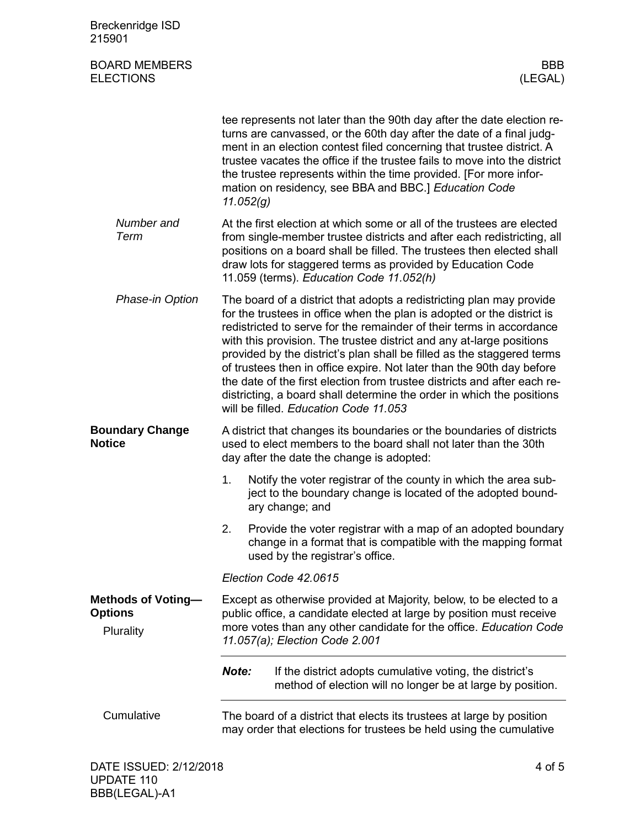| <b>Breckenridge ISD</b><br>215901                        |                                                                                                                                                                                                                                                     |                                                                                                                                                                                                                                                                                                                                                                                                                                                                                                                                                                                                                                                 |  |
|----------------------------------------------------------|-----------------------------------------------------------------------------------------------------------------------------------------------------------------------------------------------------------------------------------------------------|-------------------------------------------------------------------------------------------------------------------------------------------------------------------------------------------------------------------------------------------------------------------------------------------------------------------------------------------------------------------------------------------------------------------------------------------------------------------------------------------------------------------------------------------------------------------------------------------------------------------------------------------------|--|
| <b>BOARD MEMBERS</b><br><b>ELECTIONS</b>                 |                                                                                                                                                                                                                                                     | BBB<br>(LEGAL)                                                                                                                                                                                                                                                                                                                                                                                                                                                                                                                                                                                                                                  |  |
|                                                          | 11.052(g)                                                                                                                                                                                                                                           | tee represents not later than the 90th day after the date election re-<br>turns are canvassed, or the 60th day after the date of a final judg-<br>ment in an election contest filed concerning that trustee district. A<br>trustee vacates the office if the trustee fails to move into the district<br>the trustee represents within the time provided. [For more infor-<br>mation on residency, see BBA and BBC.] Education Code                                                                                                                                                                                                              |  |
| Number and<br>Term                                       |                                                                                                                                                                                                                                                     | At the first election at which some or all of the trustees are elected<br>from single-member trustee districts and after each redistricting, all<br>positions on a board shall be filled. The trustees then elected shall<br>draw lots for staggered terms as provided by Education Code<br>11.059 (terms). Education Code 11.052(h)                                                                                                                                                                                                                                                                                                            |  |
| Phase-in Option                                          |                                                                                                                                                                                                                                                     | The board of a district that adopts a redistricting plan may provide<br>for the trustees in office when the plan is adopted or the district is<br>redistricted to serve for the remainder of their terms in accordance<br>with this provision. The trustee district and any at-large positions<br>provided by the district's plan shall be filled as the staggered terms<br>of trustees then in office expire. Not later than the 90th day before<br>the date of the first election from trustee districts and after each re-<br>districting, a board shall determine the order in which the positions<br>will be filled. Education Code 11.053 |  |
| <b>Boundary Change</b><br><b>Notice</b>                  |                                                                                                                                                                                                                                                     | A district that changes its boundaries or the boundaries of districts<br>used to elect members to the board shall not later than the 30th<br>day after the date the change is adopted:                                                                                                                                                                                                                                                                                                                                                                                                                                                          |  |
|                                                          |                                                                                                                                                                                                                                                     | 1. Notify the voter registrar of the county in which the area sub-<br>ject to the boundary change is located of the adopted bound-<br>ary change; and                                                                                                                                                                                                                                                                                                                                                                                                                                                                                           |  |
|                                                          | 2.                                                                                                                                                                                                                                                  | Provide the voter registrar with a map of an adopted boundary<br>change in a format that is compatible with the mapping format<br>used by the registrar's office.                                                                                                                                                                                                                                                                                                                                                                                                                                                                               |  |
|                                                          |                                                                                                                                                                                                                                                     | Election Code 42.0615                                                                                                                                                                                                                                                                                                                                                                                                                                                                                                                                                                                                                           |  |
| <b>Methods of Voting-</b><br><b>Options</b><br>Plurality | Except as otherwise provided at Majority, below, to be elected to a<br>public office, a candidate elected at large by position must receive<br>more votes than any other candidate for the office. Education Code<br>11.057(a); Election Code 2.001 |                                                                                                                                                                                                                                                                                                                                                                                                                                                                                                                                                                                                                                                 |  |
|                                                          | Note:                                                                                                                                                                                                                                               | If the district adopts cumulative voting, the district's<br>method of election will no longer be at large by position.                                                                                                                                                                                                                                                                                                                                                                                                                                                                                                                          |  |
| Cumulative                                               |                                                                                                                                                                                                                                                     | The board of a district that elects its trustees at large by position<br>may order that elections for trustees be held using the cumulative                                                                                                                                                                                                                                                                                                                                                                                                                                                                                                     |  |